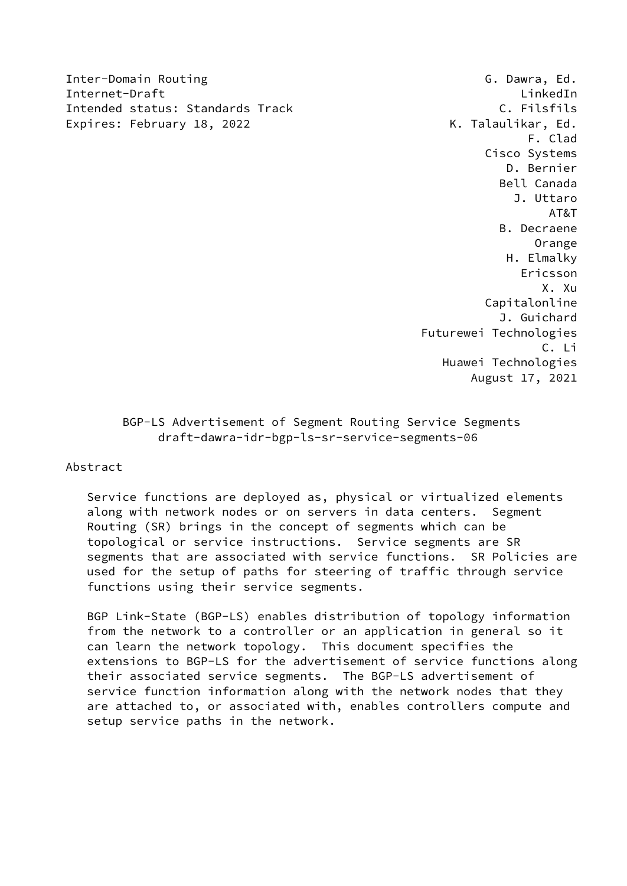Inter-Domain Routing G. Dawra, Ed. Internet-Draft LinkedIn Intended status: Standards Track C. Filsfils Expires: February 18, 2022 The Contract Contract Contract Contract Contract Contract Contract Contract Contract Contract Contract Contract Contract Contract Contract Contract Contract Contract Contract Contract Contract Co

 F. Clad Cisco Systems D. Bernier Bell Canada J. Uttaro AT&T B. Decraene Orange H. Elmalky Ericsson X. Xu Capitalonline J. Guichard Futurewei Technologies C. Li Huawei Technologies August 17, 2021

> BGP-LS Advertisement of Segment Routing Service Segments draft-dawra-idr-bgp-ls-sr-service-segments-06

## Abstract

 Service functions are deployed as, physical or virtualized elements along with network nodes or on servers in data centers. Segment Routing (SR) brings in the concept of segments which can be topological or service instructions. Service segments are SR segments that are associated with service functions. SR Policies are used for the setup of paths for steering of traffic through service functions using their service segments.

 BGP Link-State (BGP-LS) enables distribution of topology information from the network to a controller or an application in general so it can learn the network topology. This document specifies the extensions to BGP-LS for the advertisement of service functions along their associated service segments. The BGP-LS advertisement of service function information along with the network nodes that they are attached to, or associated with, enables controllers compute and setup service paths in the network.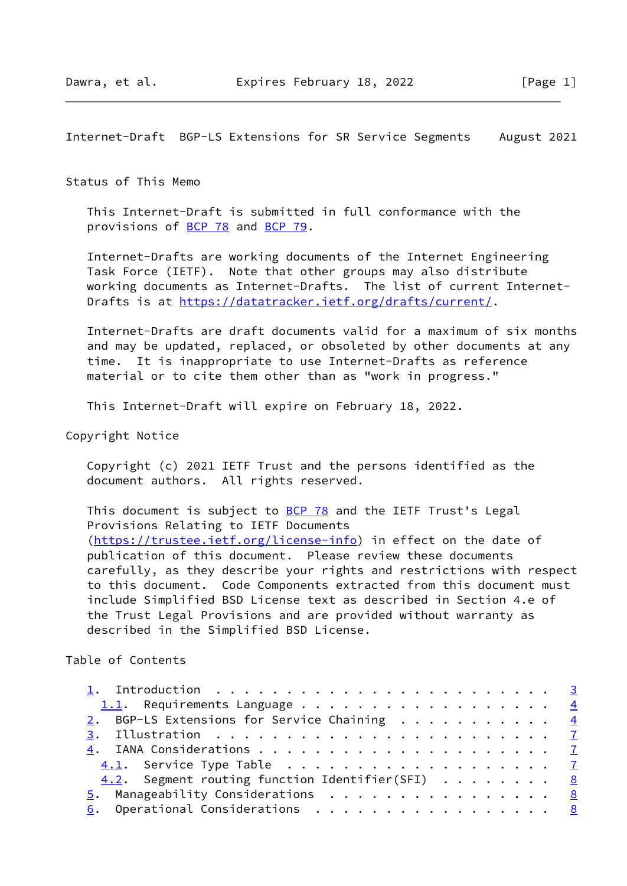Internet-Draft BGP-LS Extensions for SR Service Segments August 2021

#### Status of This Memo

 This Internet-Draft is submitted in full conformance with the provisions of [BCP 78](https://datatracker.ietf.org/doc/pdf/bcp78) and [BCP 79](https://datatracker.ietf.org/doc/pdf/bcp79).

 Internet-Drafts are working documents of the Internet Engineering Task Force (IETF). Note that other groups may also distribute working documents as Internet-Drafts. The list of current Internet Drafts is at<https://datatracker.ietf.org/drafts/current/>.

 Internet-Drafts are draft documents valid for a maximum of six months and may be updated, replaced, or obsoleted by other documents at any time. It is inappropriate to use Internet-Drafts as reference material or to cite them other than as "work in progress."

This Internet-Draft will expire on February 18, 2022.

Copyright Notice

 Copyright (c) 2021 IETF Trust and the persons identified as the document authors. All rights reserved.

This document is subject to **[BCP 78](https://datatracker.ietf.org/doc/pdf/bcp78)** and the IETF Trust's Legal Provisions Relating to IETF Documents [\(https://trustee.ietf.org/license-info](https://trustee.ietf.org/license-info)) in effect on the date of publication of this document. Please review these documents carefully, as they describe your rights and restrictions with respect to this document. Code Components extracted from this document must include Simplified BSD License text as described in Section 4.e of the Trust Legal Provisions and are provided without warranty as described in the Simplified BSD License.

#### Table of Contents

| 1. Introduction $\ldots \ldots \ldots \ldots \ldots \ldots \ldots \ldots \ldots \frac{3}{2}$ |  |
|----------------------------------------------------------------------------------------------|--|
| 1.1. Requirements Language $\frac{4}{5}$                                                     |  |
| 2. BGP-LS Extensions for Service Chaining $\frac{4}{5}$                                      |  |
|                                                                                              |  |
|                                                                                              |  |
|                                                                                              |  |
| 4.2. Segment routing function Identifier(SFI) $ \,  \,  \, 8$                                |  |
| 5. Manageability Considerations 8                                                            |  |
| 6. Operational Considerations 8                                                              |  |
|                                                                                              |  |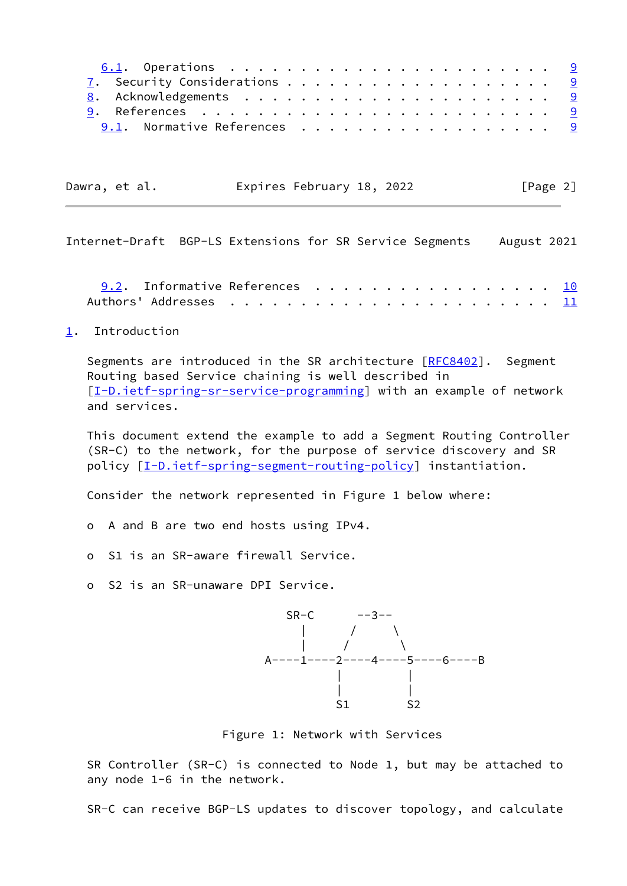| 9.1. Normative References 9 |  |  |  |  |  |  |  |  |
|-----------------------------|--|--|--|--|--|--|--|--|

| Dawra, et al. | Expires February 18, 2022 | [Page 2] |
|---------------|---------------------------|----------|
|---------------|---------------------------|----------|

<span id="page-2-1"></span>Internet-Draft BGP-LS Extensions for SR Service Segments August 2021

[9.2](#page-10-0). Informative References . . . . . . . . . . . . . . . . [10](#page-10-1) Authors' Addresses . . . . . . . . . . . . . . . . . . . . . . . [11](#page-11-0)

<span id="page-2-0"></span>[1](#page-2-0). Introduction

Segments are introduced in the SR architecture [\[RFC8402](https://datatracker.ietf.org/doc/pdf/rfc8402)]. Segment Routing based Service chaining is well described in [\[I-D.ietf-spring-sr-service-programming](#page-4-0)] with an example of network and services.

 This document extend the example to add a Segment Routing Controller (SR-C) to the network, for the purpose of service discovery and SR policy [\[I-D.ietf-spring-segment-routing-policy](#page-10-2)] instantiation.

Consider the network represented in Figure 1 below where:

- o A and B are two end hosts using IPv4.
- o S1 is an SR-aware firewall Service.
- o S2 is an SR-unaware DPI Service.



Figure 1: Network with Services

 SR Controller (SR-C) is connected to Node 1, but may be attached to any node 1-6 in the network.

SR-C can receive BGP-LS updates to discover topology, and calculate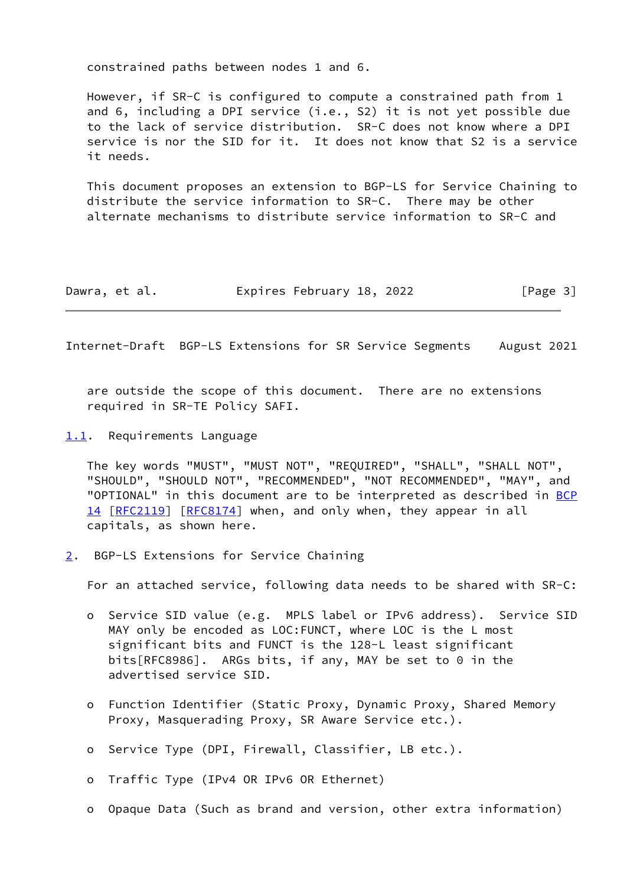constrained paths between nodes 1 and 6.

 However, if SR-C is configured to compute a constrained path from 1 and 6, including a DPI service (i.e., S2) it is not yet possible due to the lack of service distribution. SR-C does not know where a DPI service is nor the SID for it. It does not know that S2 is a service it needs.

 This document proposes an extension to BGP-LS for Service Chaining to distribute the service information to SR-C. There may be other alternate mechanisms to distribute service information to SR-C and

| Dawra, et al. | Expires February 18, 2022 | [Page 3] |
|---------------|---------------------------|----------|
|---------------|---------------------------|----------|

<span id="page-3-1"></span>Internet-Draft BGP-LS Extensions for SR Service Segments August 2021

 are outside the scope of this document. There are no extensions required in SR-TE Policy SAFI.

<span id="page-3-0"></span>[1.1](#page-3-0). Requirements Language

 The key words "MUST", "MUST NOT", "REQUIRED", "SHALL", "SHALL NOT", "SHOULD", "SHOULD NOT", "RECOMMENDED", "NOT RECOMMENDED", "MAY", and "OPTIONAL" in this document are to be interpreted as described in [BCP](https://datatracker.ietf.org/doc/pdf/bcp14) [14](https://datatracker.ietf.org/doc/pdf/bcp14) [[RFC2119\]](https://datatracker.ietf.org/doc/pdf/rfc2119) [\[RFC8174](https://datatracker.ietf.org/doc/pdf/rfc8174)] when, and only when, they appear in all capitals, as shown here.

<span id="page-3-2"></span>[2](#page-3-2). BGP-LS Extensions for Service Chaining

For an attached service, following data needs to be shared with SR-C:

- o Service SID value (e.g. MPLS label or IPv6 address). Service SID MAY only be encoded as LOC:FUNCT, where LOC is the L most significant bits and FUNCT is the 128-L least significant bits[RFC8986]. ARGs bits, if any, MAY be set to 0 in the advertised service SID.
- o Function Identifier (Static Proxy, Dynamic Proxy, Shared Memory Proxy, Masquerading Proxy, SR Aware Service etc.).
- o Service Type (DPI, Firewall, Classifier, LB etc.).

o Traffic Type (IPv4 OR IPv6 OR Ethernet)

o Opaque Data (Such as brand and version, other extra information)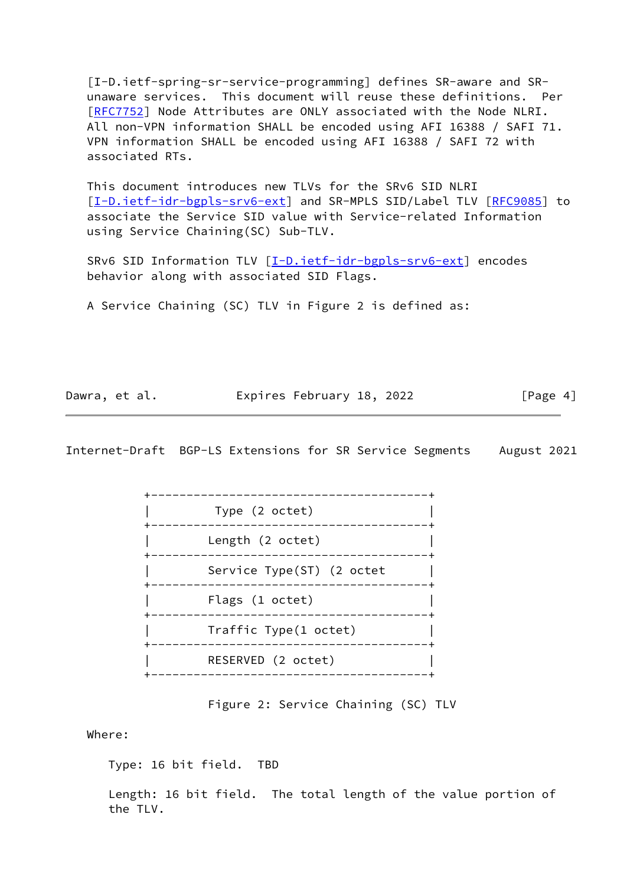<span id="page-4-0"></span> [I-D.ietf-spring-sr-service-programming] defines SR-aware and SR unaware services. This document will reuse these definitions. Per [\[RFC7752](https://datatracker.ietf.org/doc/pdf/rfc7752)] Node Attributes are ONLY associated with the Node NLRI. All non-VPN information SHALL be encoded using AFI 16388 / SAFI 71. VPN information SHALL be encoded using AFI 16388 / SAFI 72 with associated RTs.

 This document introduces new TLVs for the SRv6 SID NLRI [\[I-D.ietf-idr-bgpls-srv6-ext](#page-9-6)] and SR-MPLS SID/Label TLV [\[RFC9085](https://datatracker.ietf.org/doc/pdf/rfc9085)] to associate the Service SID value with Service-related Information using Service Chaining(SC) Sub-TLV.

SRv6 SID Information TLV [\[I-D.ietf-idr-bgpls-srv6-ext](#page-9-6)] encodes behavior along with associated SID Flags.

A Service Chaining (SC) TLV in Figure 2 is defined as:

| Dawra, et al. | Expires February 18, 2022 | [Page 4] |
|---------------|---------------------------|----------|
|               |                           |          |

Internet-Draft BGP-LS Extensions for SR Service Segments August 2021



Figure 2: Service Chaining (SC) TLV

Where:

Type: 16 bit field. TBD

 Length: 16 bit field. The total length of the value portion of the TLV.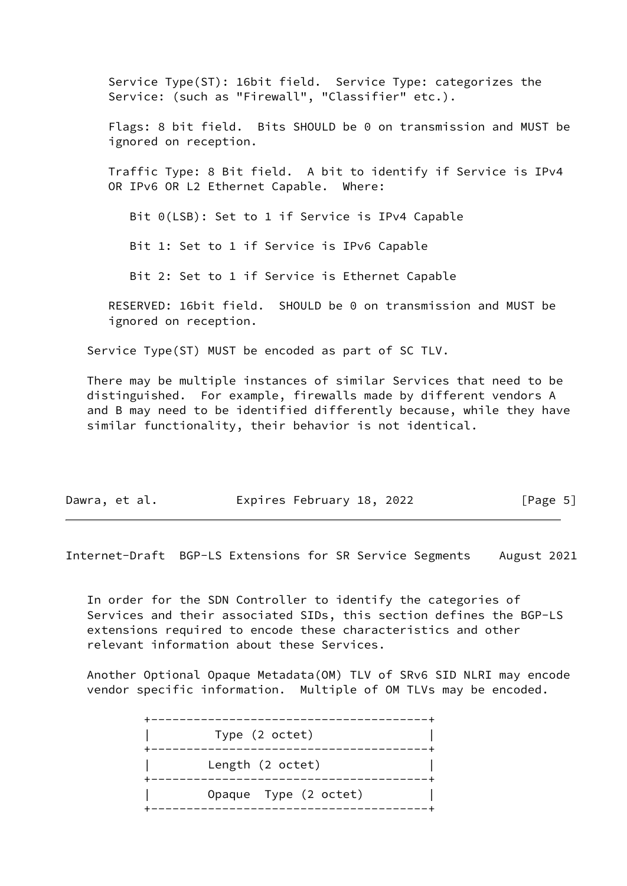Service Type(ST): 16bit field. Service Type: categorizes the Service: (such as "Firewall", "Classifier" etc.). Flags: 8 bit field. Bits SHOULD be 0 on transmission and MUST be ignored on reception. Traffic Type: 8 Bit field. A bit to identify if Service is IPv4 OR IPv6 OR L2 Ethernet Capable. Where: Bit 0(LSB): Set to 1 if Service is IPv4 Capable Bit 1: Set to 1 if Service is IPv6 Capable Bit 2: Set to 1 if Service is Ethernet Capable

 RESERVED: 16bit field. SHOULD be 0 on transmission and MUST be ignored on reception.

Service Type(ST) MUST be encoded as part of SC TLV.

 There may be multiple instances of similar Services that need to be distinguished. For example, firewalls made by different vendors A and B may need to be identified differently because, while they have similar functionality, their behavior is not identical.

| Dawra, et al. |  | Expires February 18, 2022 |  | [Page 5] |
|---------------|--|---------------------------|--|----------|
|---------------|--|---------------------------|--|----------|

Internet-Draft BGP-LS Extensions for SR Service Segments August 2021

 In order for the SDN Controller to identify the categories of Services and their associated SIDs, this section defines the BGP-LS extensions required to encode these characteristics and other relevant information about these Services.

 Another Optional Opaque Metadata(OM) TLV of SRv6 SID NLRI may encode vendor specific information. Multiple of OM TLVs may be encoded.

> +---------------------------------------+ Type (2 octet) +---------------------------------------+ Length (2 octet) +---------------------------------------+ Opaque Type (2 octet) +---------------------------------------+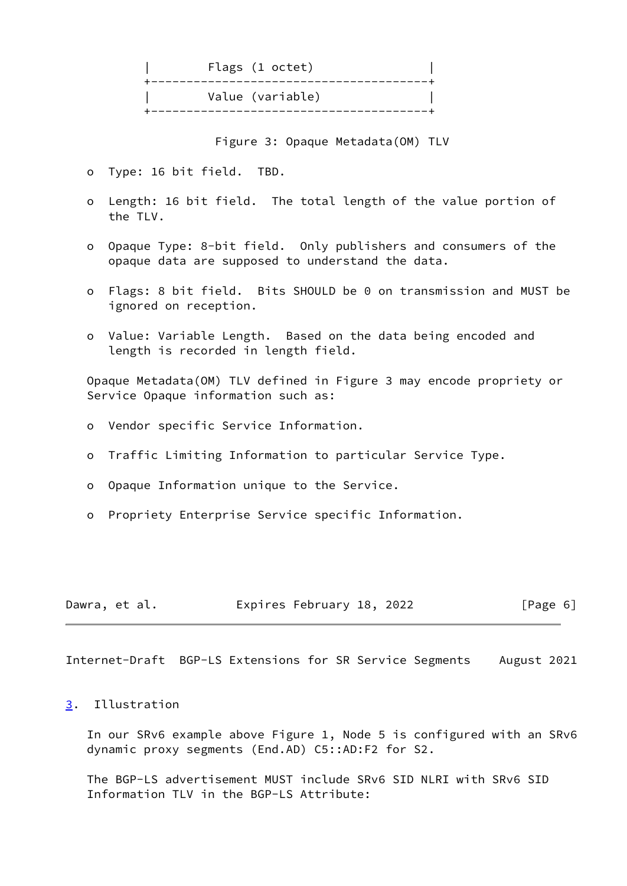|  | Flags (1 octet)  |
|--|------------------|
|  | Value (variable) |

Figure 3: Opaque Metadata(OM) TLV

- o Type: 16 bit field. TBD.
- o Length: 16 bit field. The total length of the value portion of the TLV.
- o Opaque Type: 8-bit field. Only publishers and consumers of the opaque data are supposed to understand the data.
- o Flags: 8 bit field. Bits SHOULD be 0 on transmission and MUST be ignored on reception.
- o Value: Variable Length. Based on the data being encoded and length is recorded in length field.

 Opaque Metadata(OM) TLV defined in Figure 3 may encode propriety or Service Opaque information such as:

- o Vendor specific Service Information.
- o Traffic Limiting Information to particular Service Type.
- o Opaque Information unique to the Service.
- o Propriety Enterprise Service specific Information.

| Dawra, et al. |  | Expires February 18, 2022 |  |  | [Page 6] |  |  |
|---------------|--|---------------------------|--|--|----------|--|--|
|---------------|--|---------------------------|--|--|----------|--|--|

<span id="page-6-1"></span>Internet-Draft BGP-LS Extensions for SR Service Segments August 2021

## <span id="page-6-0"></span>[3](#page-6-0). Illustration

 In our SRv6 example above Figure 1, Node 5 is configured with an SRv6 dynamic proxy segments (End.AD) C5::AD:F2 for S2.

 The BGP-LS advertisement MUST include SRv6 SID NLRI with SRv6 SID Information TLV in the BGP-LS Attribute: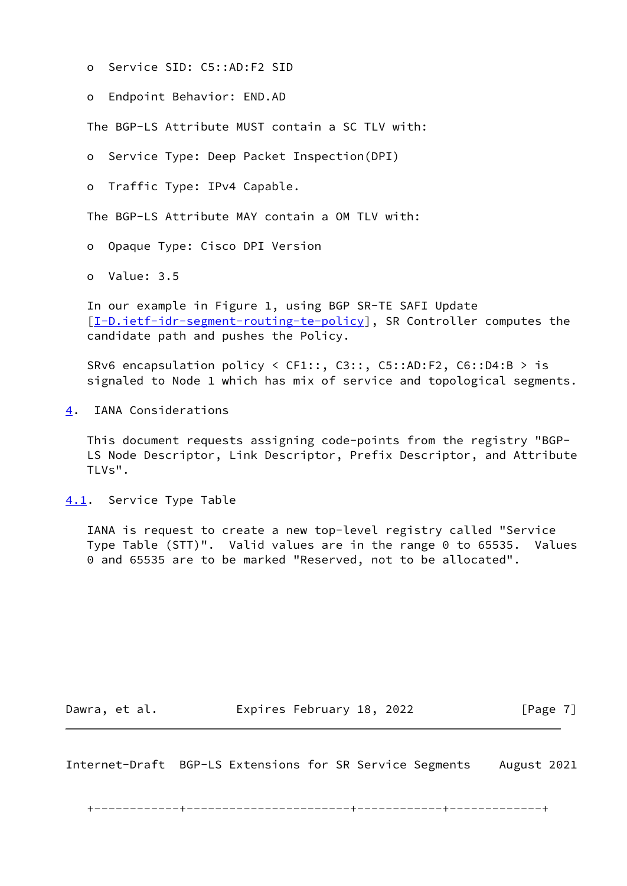- o Service SID: C5::AD:F2 SID
- o Endpoint Behavior: END.AD

The BGP-LS Attribute MUST contain a SC TLV with:

o Service Type: Deep Packet Inspection(DPI)

o Traffic Type: IPv4 Capable.

The BGP-LS Attribute MAY contain a OM TLV with:

o Opaque Type: Cisco DPI Version

o Value: 3.5

 In our example in Figure 1, using BGP SR-TE SAFI Update [\[I-D.ietf-idr-segment-routing-te-policy](#page-10-3)], SR Controller computes the candidate path and pushes the Policy.

 SRv6 encapsulation policy < CF1::, C3::, C5::AD:F2, C6::D4:B > is signaled to Node 1 which has mix of service and topological segments.

<span id="page-7-0"></span>[4](#page-7-0). IANA Considerations

 This document requests assigning code-points from the registry "BGP- LS Node Descriptor, Link Descriptor, Prefix Descriptor, and Attribute TLVs".

<span id="page-7-1"></span>[4.1](#page-7-1). Service Type Table

 IANA is request to create a new top-level registry called "Service Type Table (STT)". Valid values are in the range 0 to 65535. Values 0 and 65535 are to be marked "Reserved, not to be allocated".

Dawra, et al. **Expires February 18, 2022** [Page 7]

<span id="page-7-2"></span>Internet-Draft BGP-LS Extensions for SR Service Segments August 2021

+------------+-----------------------+------------+-------------+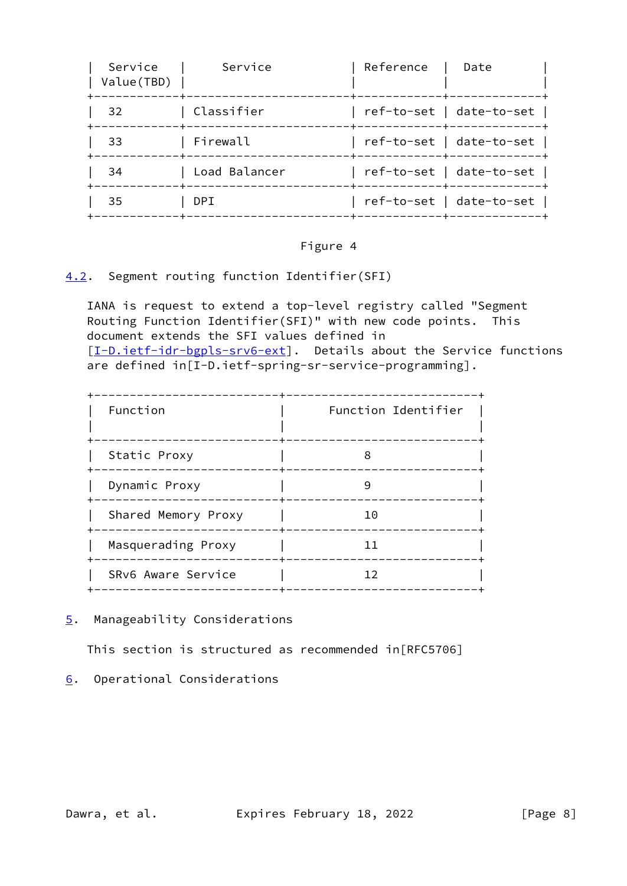| Service<br>Value(TBD) | Service       | Reference | Date                     |
|-----------------------|---------------|-----------|--------------------------|
| 32                    | Classifier    |           | ref-to-set   date-to-set |
| 33                    | Firewall      |           | ref-to-set   date-to-set |
| 34                    | Load Balancer |           | ref-to-set   date-to-set |
| 35                    | DPT.          |           | ref-to-set   date-to-set |

# Figure 4

## <span id="page-8-0"></span>[4.2](#page-8-0). Segment routing function Identifier(SFI)

 IANA is request to extend a top-level registry called "Segment Routing Function Identifier(SFI)" with new code points. This document extends the SFI values defined in [\[I-D.ietf-idr-bgpls-srv6-ext](#page-9-6)]. Details about the Service functions are defined in[I-D.ietf-spring-sr-service-programming].

| Function            | Function Identifier |
|---------------------|---------------------|
| Static Proxy        | 8                   |
| Dynamic Proxy       |                     |
| Shared Memory Proxy | 10                  |
| Masquerading Proxy  | ו ו                 |
| SRv6 Aware Service  | 12                  |

<span id="page-8-1"></span>[5](#page-8-1). Manageability Considerations

This section is structured as recommended in[RFC5706]

<span id="page-8-2"></span>[6](#page-8-2). Operational Considerations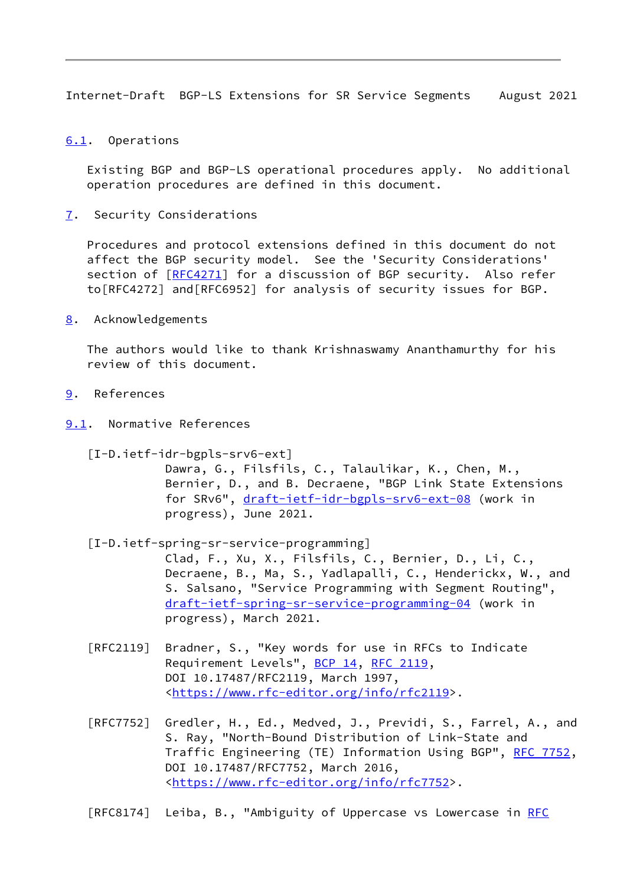<span id="page-9-1"></span>Internet-Draft BGP-LS Extensions for SR Service Segments August 2021

<span id="page-9-0"></span>[6.1](#page-9-0). Operations

 Existing BGP and BGP-LS operational procedures apply. No additional operation procedures are defined in this document.

<span id="page-9-2"></span>[7](#page-9-2). Security Considerations

 Procedures and protocol extensions defined in this document do not affect the BGP security model. See the 'Security Considerations' section of [[RFC4271\]](https://datatracker.ietf.org/doc/pdf/rfc4271) for a discussion of BGP security. Also refer to[RFC4272] and[RFC6952] for analysis of security issues for BGP.

<span id="page-9-3"></span>[8](#page-9-3). Acknowledgements

 The authors would like to thank Krishnaswamy Ananthamurthy for his review of this document.

- <span id="page-9-4"></span>[9](#page-9-4). References
- <span id="page-9-5"></span>[9.1](#page-9-5). Normative References

<span id="page-9-6"></span> [I-D.ietf-idr-bgpls-srv6-ext] Dawra, G., Filsfils, C., Talaulikar, K., Chen, M., Bernier, D., and B. Decraene, "BGP Link State Extensions for SRv6", [draft-ietf-idr-bgpls-srv6-ext-08](https://datatracker.ietf.org/doc/pdf/draft-ietf-idr-bgpls-srv6-ext-08) (work in progress), June 2021.

 [I-D.ietf-spring-sr-service-programming] Clad, F., Xu, X., Filsfils, C., Bernier, D., Li, C., Decraene, B., Ma, S., Yadlapalli, C., Henderickx, W., and S. Salsano, "Service Programming with Segment Routing", [draft-ietf-spring-sr-service-programming-04](https://datatracker.ietf.org/doc/pdf/draft-ietf-spring-sr-service-programming-04) (work in progress), March 2021.

- [RFC2119] Bradner, S., "Key words for use in RFCs to Indicate Requirement Levels", [BCP 14](https://datatracker.ietf.org/doc/pdf/bcp14), [RFC 2119](https://datatracker.ietf.org/doc/pdf/rfc2119), DOI 10.17487/RFC2119, March 1997, <[https://www.rfc-editor.org/info/rfc2119>](https://www.rfc-editor.org/info/rfc2119).
- [RFC7752] Gredler, H., Ed., Medved, J., Previdi, S., Farrel, A., and S. Ray, "North-Bound Distribution of Link-State and Traffic Engineering (TE) Information Using BGP", [RFC 7752,](https://datatracker.ietf.org/doc/pdf/rfc7752) DOI 10.17487/RFC7752, March 2016, <[https://www.rfc-editor.org/info/rfc7752>](https://www.rfc-editor.org/info/rfc7752).

[RFC8174] Leiba, B., "Ambiguity of Uppercase vs Lowercase in [RFC](https://datatracker.ietf.org/doc/pdf/rfc2119)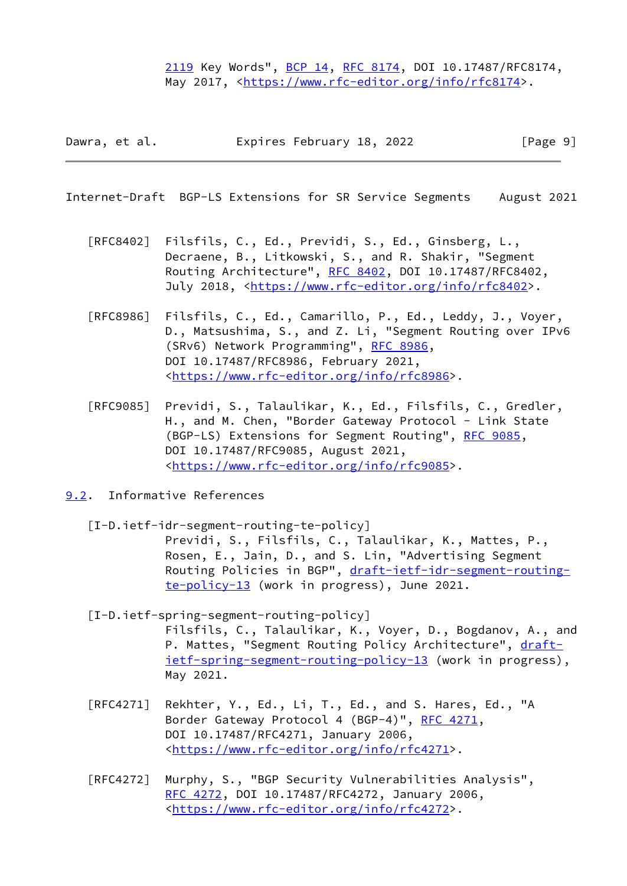[2119](https://datatracker.ietf.org/doc/pdf/rfc2119) Key Words", [BCP 14](https://datatracker.ietf.org/doc/pdf/bcp14), [RFC 8174,](https://datatracker.ietf.org/doc/pdf/rfc8174) DOI 10.17487/RFC8174, May 2017, [<https://www.rfc-editor.org/info/rfc8174](https://www.rfc-editor.org/info/rfc8174)>.

Dawra, et al. Expires February 18, 2022 [Page 9]

<span id="page-10-1"></span>Internet-Draft BGP-LS Extensions for SR Service Segments August 2021

- [RFC8402] Filsfils, C., Ed., Previdi, S., Ed., Ginsberg, L., Decraene, B., Litkowski, S., and R. Shakir, "Segment Routing Architecture", [RFC 8402](https://datatracker.ietf.org/doc/pdf/rfc8402), DOI 10.17487/RFC8402, July 2018, <<https://www.rfc-editor.org/info/rfc8402>>.
- [RFC8986] Filsfils, C., Ed., Camarillo, P., Ed., Leddy, J., Voyer, D., Matsushima, S., and Z. Li, "Segment Routing over IPv6 (SRv6) Network Programming", [RFC 8986](https://datatracker.ietf.org/doc/pdf/rfc8986), DOI 10.17487/RFC8986, February 2021, <[https://www.rfc-editor.org/info/rfc8986>](https://www.rfc-editor.org/info/rfc8986).
- [RFC9085] Previdi, S., Talaulikar, K., Ed., Filsfils, C., Gredler, H., and M. Chen, "Border Gateway Protocol - Link State (BGP-LS) Extensions for Segment Routing", [RFC 9085](https://datatracker.ietf.org/doc/pdf/rfc9085), DOI 10.17487/RFC9085, August 2021, <[https://www.rfc-editor.org/info/rfc9085>](https://www.rfc-editor.org/info/rfc9085).
- <span id="page-10-3"></span><span id="page-10-2"></span><span id="page-10-0"></span>[9.2](#page-10-0). Informative References
	- [I-D.ietf-idr-segment-routing-te-policy] Previdi, S., Filsfils, C., Talaulikar, K., Mattes, P., Rosen, E., Jain, D., and S. Lin, "Advertising Segment Routing Policies in BGP", [draft-ietf-idr-segment-routing](https://datatracker.ietf.org/doc/pdf/draft-ietf-idr-segment-routing-te-policy-13) [te-policy-13](https://datatracker.ietf.org/doc/pdf/draft-ietf-idr-segment-routing-te-policy-13) (work in progress), June 2021.
	- [I-D.ietf-spring-segment-routing-policy] Filsfils, C., Talaulikar, K., Voyer, D., Bogdanov, A., and P. Mattes, "Segment Routing Policy Architecture", [draft](https://datatracker.ietf.org/doc/pdf/draft-ietf-spring-segment-routing-policy-13) [ietf-spring-segment-routing-policy-13](https://datatracker.ietf.org/doc/pdf/draft-ietf-spring-segment-routing-policy-13) (work in progress), May 2021.
	- [RFC4271] Rekhter, Y., Ed., Li, T., Ed., and S. Hares, Ed., "A Border Gateway Protocol 4 (BGP-4)", [RFC 4271,](https://datatracker.ietf.org/doc/pdf/rfc4271) DOI 10.17487/RFC4271, January 2006, <[https://www.rfc-editor.org/info/rfc4271>](https://www.rfc-editor.org/info/rfc4271).
	- [RFC4272] Murphy, S., "BGP Security Vulnerabilities Analysis", [RFC 4272,](https://datatracker.ietf.org/doc/pdf/rfc4272) DOI 10.17487/RFC4272, January 2006, <[https://www.rfc-editor.org/info/rfc4272>](https://www.rfc-editor.org/info/rfc4272).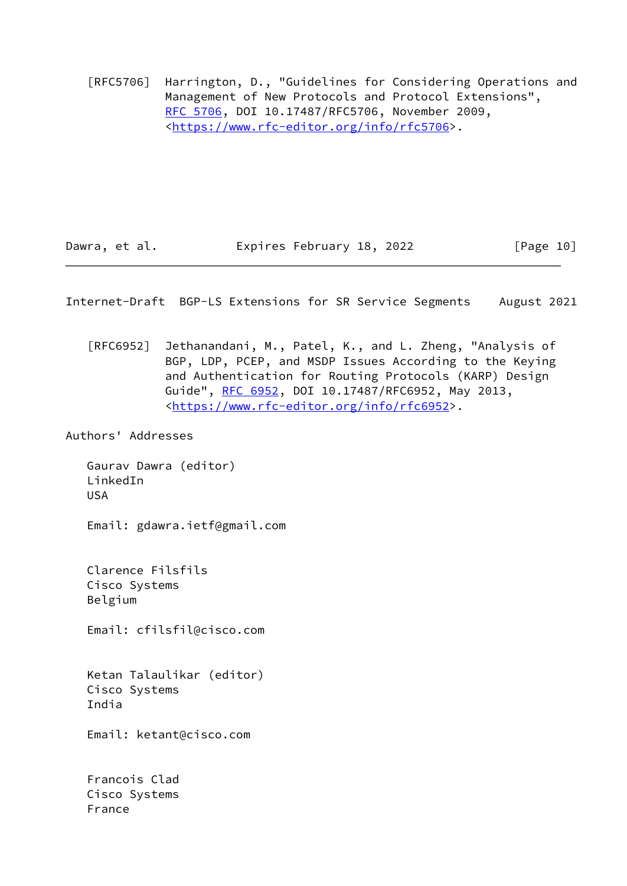[RFC5706] Harrington, D., "Guidelines for Considering Operations and Management of New Protocols and Protocol Extensions", [RFC 5706,](https://datatracker.ietf.org/doc/pdf/rfc5706) DOI 10.17487/RFC5706, November 2009, <[https://www.rfc-editor.org/info/rfc5706>](https://www.rfc-editor.org/info/rfc5706).

Dawra, et al. **Expires February 18, 2022** [Page 10]

<span id="page-11-0"></span>Internet-Draft BGP-LS Extensions for SR Service Segments August 2021

 [RFC6952] Jethanandani, M., Patel, K., and L. Zheng, "Analysis of BGP, LDP, PCEP, and MSDP Issues According to the Keying and Authentication for Routing Protocols (KARP) Design Guide", [RFC 6952,](https://datatracker.ietf.org/doc/pdf/rfc6952) DOI 10.17487/RFC6952, May 2013, <[https://www.rfc-editor.org/info/rfc6952>](https://www.rfc-editor.org/info/rfc6952).

Authors' Addresses

 Gaurav Dawra (editor) LinkedIn USA Email: gdawra.ietf@gmail.com Clarence Filsfils Cisco Systems Belgium Email: cfilsfil@cisco.com

 Ketan Talaulikar (editor) Cisco Systems India

Email: ketant@cisco.com

 Francois Clad Cisco Systems France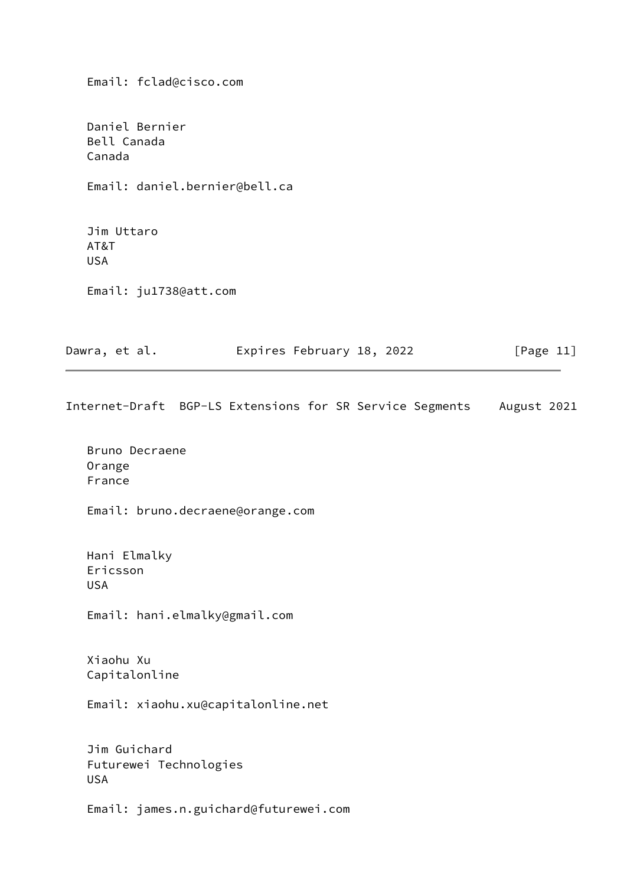Email: fclad@cisco.com

 Daniel Bernier Bell Canada Canada

Email: daniel.bernier@bell.ca

 Jim Uttaro AT&T USA

Email: ju1738@att.com

| Dawra, et al. | Expires February 18, 2022 | [Page 11] |
|---------------|---------------------------|-----------|
|---------------|---------------------------|-----------|

Internet-Draft BGP-LS Extensions for SR Service Segments August 2021

 Bruno Decraene Orange France

Email: bruno.decraene@orange.com

 Hani Elmalky Ericsson USA

Email: hani.elmalky@gmail.com

 Xiaohu Xu Capitalonline

Email: xiaohu.xu@capitalonline.net

 Jim Guichard Futurewei Technologies USA

Email: james.n.guichard@futurewei.com